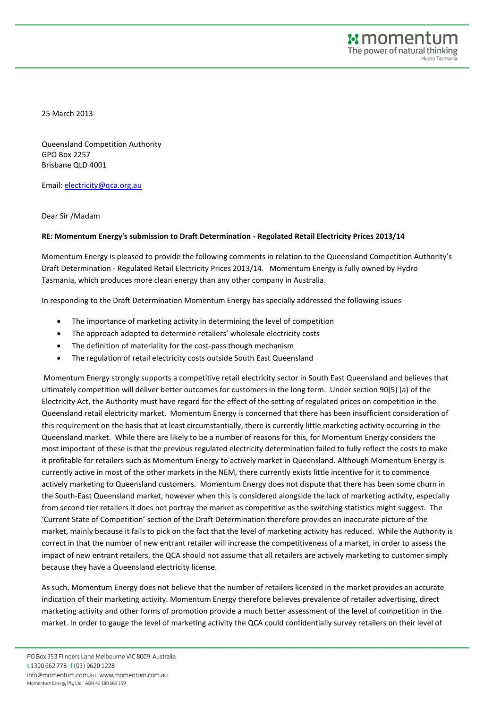25 March 2013

Queensland Competition Authority GPO Box 2257 Brisbane QLD 4001

Email: [electricity@qca.org.au](mailto:electricity@qca.org.au)

Dear Sir /Madam

## **RE: Momentum Energy's submission to Draft Determination - Regulated Retail Electricity Prices 2013/14**

Momentum Energy is pleased to provide the following comments in relation to the Queensland Competition Authority's Draft Determination - Regulated Retail Electricity Prices 2013/14. Momentum Energy is fully owned by Hydro Tasmania, which produces more clean energy than any other company in Australia.

In responding to the Draft Determination Momentum Energy has specially addressed the following issues

- The importance of marketing activity in determining the level of competition
- The approach adopted to determine retailers' wholesale electricity costs
- The definition of materiality for the cost-pass though mechanism
- The regulation of retail electricity costs outside South East Queensland

Momentum Energy strongly supports a competitive retail electricity sector in South East Queensland and believes that ultimately competition will deliver better outcomes for customers in the long term. Under section 90(5) (a) of the Electricity Act, the Authority must have regard for the effect of the setting of regulated prices on competition in the Queensland retail electricity market. Momentum Energy is concerned that there has been insufficient consideration of this requirement on the basis that at least circumstantially, there is currently little marketing activity occurring in the Queensland market. While there are likely to be a number of reasons for this, for Momentum Energy considers the most important of these is that the previous regulated electricity determination failed to fully reflect the costs to make it profitable for retailers such as Momentum Energy to actively market in Queensland. Although Momentum Energy is currently active in most of the other markets in the NEM, there currently exists little incentive for it to commence actively marketing to Queensland customers. Momentum Energy does not dispute that there has been some churn in the South-East Queensland market, however when this is considered alongside the lack of marketing activity, especially from second tier retailers it does not portray the market as competitive as the switching statistics might suggest. The 'Current State of Competition' section of the Draft Determination therefore provides an inaccurate picture of the market, mainly because it fails to pick on the fact that the level of marketing activity has reduced. While the Authority is correct in that the number of new entrant retailer will increase the competitiveness of a market, in order to assess the impact of new entrant retailers, the QCA should not assume that all retailers are actively marketing to customer simply because they have a Queensland electricity license.

As such, Momentum Energy does not believe that the number of retailers licensed in the market provides an accurate indication of their marketing activity. Momentum Energy therefore believes prevalence of retailer advertising, direct marketing activity and other forms of promotion provide a much better assessment of the level of competition in the market. In order to gauge the level of marketing activity the QCA could confidentially survey retailers on their level of